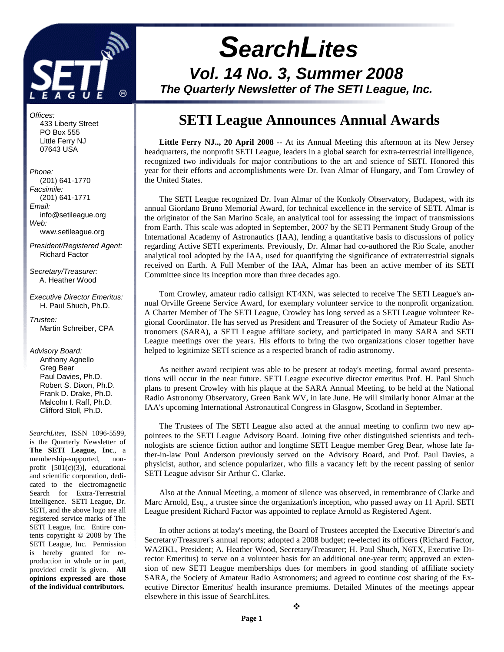

# **SearchLites Vol. 14 No. 3, Summer 2008 The Quarterly Newsletter of The SETI League, Inc.**

# **SETI League Announces Annual Awards**

**Little Ferry NJ.., 20 April 2008** -- At its Annual Meeting this afternoon at its New Jersey headquarters, the nonprofit SETI League, leaders in a global search for extra-terrestrial intelligence, recognized two individuals for major contributions to the art and science of SETI. Honored this year for their efforts and accomplishments were Dr. Ivan Almar of Hungary, and Tom Crowley of the United States.

The SETI League recognized Dr. Ivan Almar of the Konkoly Observatory, Budapest, with its annual Giordano Bruno Memorial Award, for technical excellence in the service of SETI. Almar is the originator of the San Marino Scale, an analytical tool for assessing the impact of transmissions from Earth. This scale was adopted in September, 2007 by the SETI Permanent Study Group of the International Academy of Astronautics (IAA), lending a quantitative basis to discussions of policy regarding Active SETI experiments. Previously, Dr. Almar had co-authored the Rio Scale, another analytical tool adopted by the IAA, used for quantifying the significance of extraterrestrial signals received on Earth. A Full Member of the IAA, Almar has been an active member of its SETI Committee since its inception more than three decades ago.

Tom Crowley, amateur radio callsign KT4XN, was selected to receive The SETI League's annual Orville Greene Service Award, for exemplary volunteer service to the nonprofit organization. A Charter Member of The SETI League, Crowley has long served as a SETI League volunteer Regional Coordinator. He has served as President and Treasurer of the Society of Amateur Radio Astronomers (SARA), a SETI League affiliate society, and participated in many SARA and SETI League meetings over the years. His efforts to bring the two organizations closer together have helped to legitimize SETI science as a respected branch of radio astronomy.

As neither award recipient was able to be present at today's meeting, formal award presentations will occur in the near future. SETI League executive director emeritus Prof. H. Paul Shuch plans to present Crowley with his plaque at the SARA Annual Meeting, to be held at the National Radio Astronomy Observatory, Green Bank WV, in late June. He will similarly honor Almar at the IAA's upcoming International Astronautical Congress in Glasgow, Scotland in September.

The Trustees of The SETI League also acted at the annual meeting to confirm two new appointees to the SETI League Advisory Board. Joining five other distinguished scientists and technologists are science fiction author and longtime SETI League member Greg Bear, whose late father-in-law Poul Anderson previously served on the Advisory Board, and Prof. Paul Davies, a physicist, author, and science popularizer, who fills a vacancy left by the recent passing of senior SETI League advisor Sir Arthur C. Clarke.

Also at the Annual Meeting, a moment of silence was observed, in remembrance of Clarke and Marc Arnold, Esq., a trustee since the organization's inception, who passed away on 11 April. SETI League president Richard Factor was appointed to replace Arnold as Registered Agent.

In other actions at today's meeting, the Board of Trustees accepted the Executive Director's and Secretary/Treasurer's annual reports; adopted a 2008 budget; re-elected its officers (Richard Factor, WA2IKL, President; A. Heather Wood, Secretary/Treasurer; H. Paul Shuch, N6TX, Executive Director Emeritus) to serve on a volunteer basis for an additional one-year term; approved an extension of new SETI League memberships dues for members in good standing of affiliate society SARA, the Society of Amateur Radio Astronomers; and agreed to continue cost sharing of the Executive Director Emeritus' health insurance premiums. Detailed Minutes of the meetings appear elsewhere in this issue of SearchLites.

Phone: (201) 641-1770 Facsimile: (201) 641-1771 Email: info@setileague.org Web:

 433 Liberty Street PO Box 555 Little Ferry NJ 07643 USA

Offices:

www.setileague.org

President/Registered Agent: Richard Factor

Secretary/Treasurer: A. Heather Wood

Executive Director Emeritus: H. Paul Shuch, Ph.D.

Trustee: Martin Schreiber, CPA

Advisory Board:

 Anthony Agnello Greg Bear Paul Davies, Ph.D. Robert S. Dixon, Ph.D. Frank D. Drake, Ph.D. Malcolm I. Raff, Ph.D. Clifford Stoll, Ph.D.

*SearchLites*, ISSN 1096-5599, is the Quarterly Newsletter of **The SETI League, Inc**., a membership-supported, nonprofit [501(c)(3)], educational and scientific corporation, dedicated to the electromagnetic Search for Extra-Terrestrial Intelligence. SETI League, Dr. SETI, and the above logo are all registered service marks of The SETI League, Inc. Entire contents copyright © 2008 by The SETI League, Inc. Permission is hereby granted for reproduction in whole or in part, provided credit is given. **All opinions expressed are those of the individual contributors.**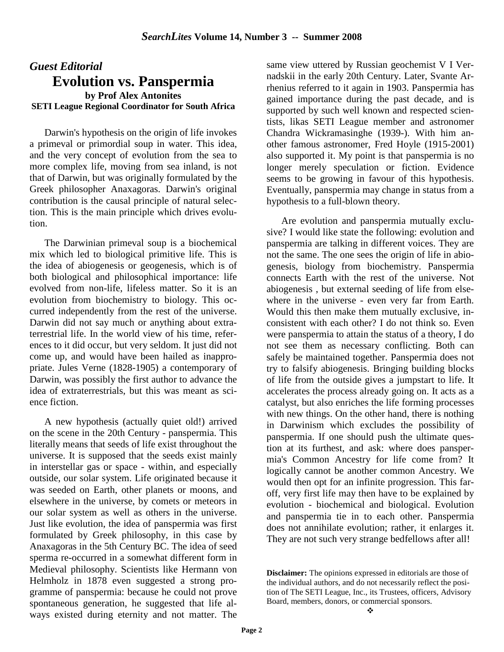## *Guest Editorial*  **Evolution vs. Panspermia by Prof Alex Antonites SETI League Regional Coordinator for South Africa**

Darwin's hypothesis on the origin of life invokes a primeval or primordial soup in water. This idea, and the very concept of evolution from the sea to more complex life, moving from sea inland, is not that of Darwin, but was originally formulated by the Greek philosopher Anaxagoras. Darwin's original contribution is the causal principle of natural selection. This is the main principle which drives evolution.

The Darwinian primeval soup is a biochemical mix which led to biological primitive life. This is the idea of abiogenesis or geogenesis, which is of both biological and philosophical importance: life evolved from non-life, lifeless matter. So it is an evolution from biochemistry to biology. This occurred independently from the rest of the universe. Darwin did not say much or anything about extraterrestrial life. In the world view of his time, references to it did occur, but very seldom. It just did not come up, and would have been hailed as inappropriate. Jules Verne (1828-1905) a contemporary of Darwin, was possibly the first author to advance the idea of extraterrestrials, but this was meant as science fiction.

A new hypothesis (actually quiet old!) arrived on the scene in the 20th Century - panspermia. This literally means that seeds of life exist throughout the universe. It is supposed that the seeds exist mainly in interstellar gas or space - within, and especially outside, our solar system. Life originated because it was seeded on Earth, other planets or moons, and elsewhere in the universe, by comets or meteors in our solar system as well as others in the universe. Just like evolution, the idea of panspermia was first formulated by Greek philosophy, in this case by Anaxagoras in the 5th Century BC. The idea of seed sperma re-occurred in a somewhat different form in Medieval philosophy. Scientists like Hermann von Helmholz in 1878 even suggested a strong programme of panspermia: because he could not prove spontaneous generation, he suggested that life always existed during eternity and not matter. The

same view uttered by Russian geochemist V I Vernadskii in the early 20th Century. Later, Svante Arrhenius referred to it again in 1903. Panspermia has gained importance during the past decade, and is supported by such well known and respected scientists, likas SETI League member and astronomer Chandra Wickramasinghe (1939-). With him another famous astronomer, Fred Hoyle (1915-2001) also supported it. My point is that panspermia is no longer merely speculation or fiction. Evidence seems to be growing in favour of this hypothesis. Eventually, panspermia may change in status from a hypothesis to a full-blown theory.

Are evolution and panspermia mutually exclusive? I would like state the following: evolution and panspermia are talking in different voices. They are not the same. The one sees the origin of life in abiogenesis, biology from biochemistry. Panspermia connects Earth with the rest of the universe. Not abiogenesis , but external seeding of life from elsewhere in the universe - even very far from Earth. Would this then make them mutually exclusive, inconsistent with each other? I do not think so. Even were panspermia to attain the status of a theory, I do not see them as necessary conflicting. Both can safely be maintained together. Panspermia does not try to falsify abiogenesis. Bringing building blocks of life from the outside gives a jumpstart to life. It accelerates the process already going on. It acts as a catalyst, but also enriches the life forming processes with new things. On the other hand, there is nothing in Darwinism which excludes the possibility of panspermia. If one should push the ultimate question at its furthest, and ask: where does panspermia's Common Ancestry for life come from? It logically cannot be another common Ancestry. We would then opt for an infinite progression. This faroff, very first life may then have to be explained by evolution - biochemical and biological. Evolution and panspermia tie in to each other. Panspermia does not annihilate evolution; rather, it enlarges it. They are not such very strange bedfellows after all!

**Disclaimer:** The opinions expressed in editorials are those of the individual authors, and do not necessarily reflect the position of The SETI League, Inc., its Trustees, officers, Advisory Board, members, donors, or commercial sponsors.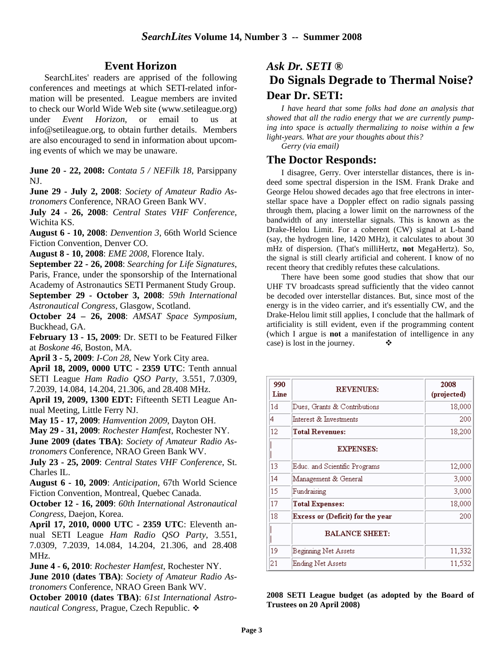## **Event Horizon**

SearchLites' readers are apprised of the following conferences and meetings at which SETI-related information will be presented. League members are invited to check our World Wide Web site (www.setileague.org) under *Event Horizon*, or email to us at info@setileague.org, to obtain further details. Members are also encouraged to send in information about upcoming events of which we may be unaware.

**June 20 - 22, 2008:** *Contata 5 / NEFilk 18*, Parsippany NJ.

**June 29 - July 2, 2008**: *Society of Amateur Radio Astronomers* Conference, NRAO Green Bank WV.

**July 24 - 26, 2008**: *Central States VHF Conference*, Wichita KS.

**August 6 - 10, 2008**: *Denvention 3*, 66th World Science Fiction Convention, Denver CO.

**August 8 - 10, 2008**: *EME 2008*, Florence Italy.

**September 22 - 26, 2008**: *Searching for Life Signatures*, Paris, France, under the sponsorship of the International Academy of Astronautics SETI Permanent Study Group.

**September 29 - October 3, 2008**: *59th International Astronautical Congress*, Glasgow, Scotland.

**October 24 – 26, 2008**: *AMSAT Space Symposium*, Buckhead, GA.

**February 13 - 15, 2009**: Dr. SETI to be Featured Filker at *Boskone 46*, Boston, MA.

**April 3 - 5, 2009**: *I-Con 28*, New York City area.

**April 18, 2009, 0000 UTC - 2359 UTC**: Tenth annual SETI League *Ham Radio QSO Party*, 3.551, 7.0309, 7.2039, 14.084, 14.204, 21.306, and 28.408 MHz.

**April 19, 2009, 1300 EDT:** Fifteenth SETI League Annual Meeting, Little Ferry NJ.

**May 15 - 17, 2009**: *Hamvention 2009*, Dayton OH.

**May 29 - 31, 2009**: *Rochester Hamfest*, Rochester NY.

**June 2009 (dates TBA)**: *Society of Amateur Radio Astronomers* Conference, NRAO Green Bank WV.

**July 23 - 25, 2009**: *Central States VHF Conference*, St. Charles IL.

**August 6 - 10, 2009**: *Anticipation*, 67th World Science Fiction Convention, Montreal, Quebec Canada.

**October 12 - 16, 2009**: *60th International Astronautical Congress*, Daejon, Korea.

**April 17, 2010, 0000 UTC - 2359 UTC**: Eleventh annual SETI League *Ham Radio QSO Party*, 3.551, 7.0309, 7.2039, 14.084, 14.204, 21.306, and 28.408 MHz.

**June 4 - 6, 2010**: *Rochester Hamfest*, Rochester NY.

**June 2010 (dates TBA)**: *Society of Amateur Radio Astronomers* Conference, NRAO Green Bank WV.

**October 20010 (dates TBA)**: *61st International Astro*nautical Congress, Prague, Czech Republic. <sup>◆</sup>

# *Ask Dr. SETI ®*  **Do Signals Degrade to Thermal Noise? Dear Dr. SETI:**

 *I have heard that some folks had done an analysis that showed that all the radio energy that we are currently pumping into space is actually thermalizing to noise within a few light-years. What are your thoughts about this?* 

*Gerry (via email)* 

### **The Doctor Responds:**

 I disagree, Gerry. Over interstellar distances, there is indeed some spectral dispersion in the ISM. Frank Drake and George Helou showed decades ago that free electrons in interstellar space have a Doppler effect on radio signals passing through them, placing a lower limit on the narrowness of the bandwidth of any interstellar signals. This is known as the Drake-Helou Limit. For a coherent (CW) signal at L-band (say, the hydrogen line, 1420 MHz), it calculates to about 30 mHz of dispersion. (That's milliHertz, **not** MegaHertz). So, the signal is still clearly artificial and coherent. I know of no recent theory that credibly refutes these calculations.

There have been some good studies that show that our UHF TV broadcasts spread sufficiently that the video cannot be decoded over interstellar distances. But, since most of the energy is in the video carrier, and it's essentially CW, and the Drake-Helou limit still applies, I conclude that the hallmark of artificiality is still evident, even if the programming content (which I argue is **not** a manifestation of intelligence in any case) is lost in the journey.  $\bullet$ 

| 990<br>Line | <b>REVENUES:</b>                 | 2008<br>(projected) |
|-------------|----------------------------------|---------------------|
| 1d          | Dues, Grants & Contributions     | 18,000              |
| 4           | Interest $\alpha$ Investments    | 200                 |
| 12          | <b>Total Revenues:</b>           | 18,200              |
|             | <b>EXPENSES:</b>                 |                     |
| 13          | Educ, and Scientific Programs    | 12,000              |
| 14          | Management & General             | 3,000               |
| 15          | Fundraising                      | 3,000               |
| 17          | <b>Total Expenses:</b>           | 18,000              |
| 18          | Excess or (Deficit) for the year | 200                 |
|             | <b>BALANCE SHEET:</b>            |                     |
| 19          | Beginning Net Assets             | 11,332              |
| 21          | Ending Net Assets                | 11,532              |

**2008 SETI League budget (as adopted by the Board of Trustees on 20 April 2008)**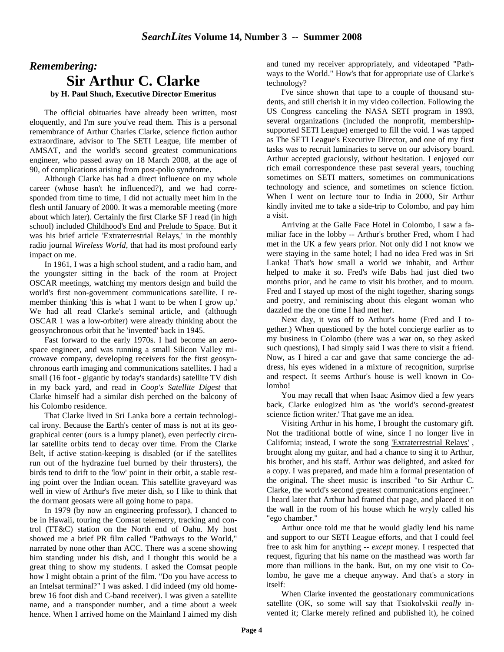# *Remembering:* **Sir Arthur C. Clarke**

**by H. Paul Shuch, Executive Director Emeritus**

The official obituaries have already been written, most eloquently, and I'm sure you've read them. This is a personal remembrance of Arthur Charles Clarke, science fiction author extraordinare, advisor to The SETI League, life member of AMSAT, and the world's second greatest communications engineer, who passed away on 18 March 2008, at the age of 90, of complications arising from post-polio syndrome.

Although Clarke has had a direct influence on my whole career (whose hasn't he influenced?), and we had corresponded from time to time, I did not actually meet him in the flesh until January of 2000. It was a memorable meeting (more about which later). Certainly the first Clarke SF I read (in high school) included Childhood's End and Prelude to Space. But it was his brief article 'Extraterrestrial Relays,' in the monthly radio journal *Wireless World*, that had its most profound early impact on me.

In 1961, I was a high school student, and a radio ham, and the youngster sitting in the back of the room at Project OSCAR meetings, watching my mentors design and build the world's first non-government communications satellite. I remember thinking 'this is what I want to be when I grow up.' We had all read Clarke's seminal article, and (although OSCAR 1 was a low-orbiter) were already thinking about the geosynchronous orbit that he 'invented' back in 1945.

Fast forward to the early 1970s. I had become an aerospace engineer, and was running a small Silicon Valley microwave company, developing receivers for the first geosynchronous earth imaging and communications satellites. I had a small (16 foot - gigantic by today's standards) satellite TV dish in my back yard, and read in *Coop's Satellite Digest* that Clarke himself had a similar dish perched on the balcony of his Colombo residence.

That Clarke lived in Sri Lanka bore a certain technological irony. Because the Earth's center of mass is not at its geographical center (ours is a lumpy planet), even perfectly circular satellite orbits tend to decay over time. From the Clarke Belt, if active station-keeping is disabled (or if the satellites run out of the hydrazine fuel burned by their thrusters), the birds tend to drift to the 'low' point in their orbit, a stable resting point over the Indian ocean. This satellite graveyard was well in view of Arthur's five meter dish, so I like to think that the dormant geosats were all going home to papa.

In 1979 (by now an engineering professor), I chanced to be in Hawaii, touring the Comsat telemetry, tracking and control (TT&C) station on the North end of Oahu. My host showed me a brief PR film called "Pathways to the World," narrated by none other than ACC. There was a scene showing him standing under his dish, and I thought this would be a great thing to show my students. I asked the Comsat people how I might obtain a print of the film. "Do you have access to an Intelsat terminal?" I was asked. I did indeed (my old homebrew 16 foot dish and C-band receiver). I was given a satellite name, and a transponder number, and a time about a week hence. When I arrived home on the Mainland I aimed my dish and tuned my receiver appropriately, and videotaped "Pathways to the World." How's that for appropriate use of Clarke's technology?

I've since shown that tape to a couple of thousand students, and still cherish it in my video collection. Following the US Congress canceling the NASA SETI program in 1993, several organizations (included the nonprofit, membershipsupported SETI League) emerged to fill the void. I was tapped as The SETI League's Executive Director, and one of my first tasks was to recruit luminaries to serve on our advisory board. Arthur accepted graciously, without hesitation. I enjoyed our rich email correspondence these past several years, touching sometimes on SETI matters, sometimes on communications technology and science, and sometimes on science fiction. When I went on lecture tour to India in 2000, Sir Arthur kindly invited me to take a side-trip to Colombo, and pay him a visit.

Arriving at the Galle Face Hotel in Colombo, I saw a familiar face in the lobby -- Arthur's brother Fred, whom I had met in the UK a few years prior. Not only did I not know we were staying in the same hotel; I had no idea Fred was in Sri Lanka! That's how small a world we inhabit, and Arthur helped to make it so. Fred's wife Babs had just died two months prior, and he came to visit his brother, and to mourn. Fred and I stayed up most of the night together, sharing songs and poetry, and reminiscing about this elegant woman who dazzled me the one time I had met her.

Next day, it was off to Arthur's home (Fred and I together.) When questioned by the hotel concierge earlier as to my business in Colombo (there was a war on, so they asked such questions), I had simply said I was there to visit a friend. Now, as I hired a car and gave that same concierge the address, his eyes widened in a mixture of recognition, surprise and respect. It seems Arthur's house is well known in Colombo!

You may recall that when Isaac Asimov died a few years back, Clarke eulogized him as 'the world's second-greatest science fiction writer.' That gave me an idea.

Visiting Arthur in his home, I brought the customary gift. Not the traditional bottle of wine, since I no longer live in California; instead, I wrote the song 'Extraterrestrial Relays' , brought along my guitar, and had a chance to sing it to Arthur, his brother, and his staff. Arthur was delighted, and asked for a copy. I was prepared, and made him a formal presentation of the original. The sheet music is inscribed "to Sir Arthur C. Clarke, the world's second greatest communications engineer." I heard later that Arthur had framed that page, and placed it on the wall in the room of his house which he wryly called his "ego chamber."

Arthur once told me that he would gladly lend his name and support to our SETI League efforts, and that I could feel free to ask him for anything -- *except* money. I respected that request, figuring that his name on the masthead was worth far more than millions in the bank. But, on my one visit to Colombo, he gave me a cheque anyway. And that's a story in itself:

When Clarke invented the geostationary communications satellite (OK, so some will say that Tsiokolvskii *really* invented it; Clarke merely refined and published it), he coined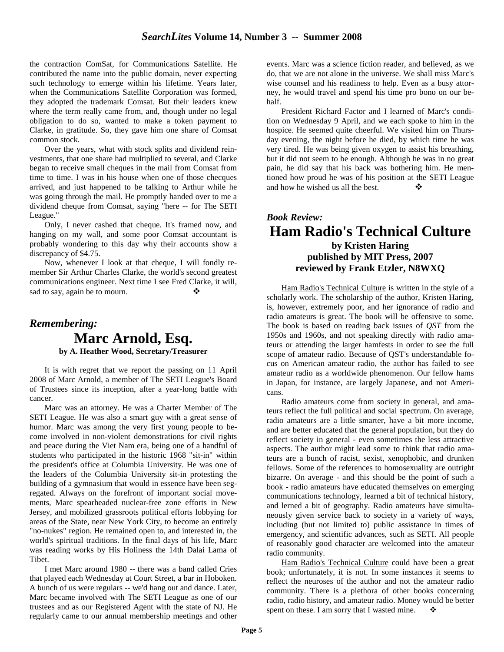the contraction ComSat, for Communications Satellite. He contributed the name into the public domain, never expecting such technology to emerge within his lifetime. Years later, when the Communications Satellite Corporation was formed, they adopted the trademark Comsat. But their leaders knew where the term really came from, and, though under no legal obligation to do so, wanted to make a token payment to Clarke, in gratitude. So, they gave him one share of Comsat common stock.

Over the years, what with stock splits and dividend reinvestments, that one share had multiplied to several, and Clarke began to receive small cheques in the mail from Comsat from time to time. I was in his house when one of those checques arrived, and just happened to be talking to Arthur while he was going through the mail. He promptly handed over to me a dividend cheque from Comsat, saying "here -- for The SETI League."

Only, I never cashed that cheque. It's framed now, and hanging on my wall, and some poor Comsat accountant is probably wondering to this day why their accounts show a discrepancy of \$4.75.

Now, whenever I look at that cheque, I will fondly remember Sir Arthur Charles Clarke, the world's second greatest communications engineer. Next time I see Fred Clarke, it will, sad to say, again be to mourn.

## *Remembering:* **Marc Arnold, Esq. by A. Heather Wood, Secretary/Treasurer**

 It is with regret that we report the passing on 11 April 2008 of Marc Arnold, a member of The SETI League's Board of Trustees since its inception, after a year-long battle with cancer.

Marc was an attorney. He was a Charter Member of The SETI League. He was also a smart guy with a great sense of humor. Marc was among the very first young people to become involved in non-violent demonstrations for civil rights and peace during the Viet Nam era, being one of a handful of students who participated in the historic 1968 "sit-in" within the president's office at Columbia University. He was one of the leaders of the Columbia University sit-in protesting the building of a gymnasium that would in essence have been segregated. Always on the forefront of important social movements, Marc spearheaded nuclear-free zone efforts in New Jersey, and mobilized grassroots political efforts lobbying for areas of the State, near New York City, to become an entirely "no-nukes" region. He remained open to, and interested in, the world's spiritual traditions. In the final days of his life, Marc was reading works by His Holiness the 14th Dalai Lama of **Tibet** 

I met Marc around 1980 -- there was a band called Cries that played each Wednesday at Court Street, a bar in Hoboken. A bunch of us were regulars -- we'd hang out and dance. Later, Marc became involved with The SETI League as one of our trustees and as our Registered Agent with the state of NJ. He regularly came to our annual membership meetings and other

events. Marc was a science fiction reader, and believed, as we do, that we are not alone in the universe. We shall miss Marc's wise counsel and his readiness to help. Even as a busy attorney, he would travel and spend his time pro bono on our behalf.

President Richard Factor and I learned of Marc's condition on Wednesday 9 April, and we each spoke to him in the hospice. He seemed quite cheerful. We visited him on Thursday evening, the night before he died, by which time he was very tired. He was being given oxygen to assist his breathing, but it did not seem to be enough. Although he was in no great pain, he did say that his back was bothering him. He mentioned how proud he was of his position at the SETI League and how he wished us all the best. -

## *Book Review:*  **Ham Radio's Technical Culture by Kristen Haring published by MIT Press, 2007 reviewed by Frank Etzler, N8WXQ**

Ham Radio's Technical Culture is written in the style of a scholarly work. The scholarship of the author, Kristen Haring, is, however, extremely poor, and her ignorance of radio and radio amateurs is great. The book will be offensive to some. The book is based on reading back issues of *QST* from the 1950s and 1960s, and not speaking directly with radio amateurs or attending the larger hamfests in order to see the full scope of amateur radio. Because of QST's understandable focus on American amateur radio, the author has failed to see amateur radio as a worldwide phenomenon. Our fellow hams in Japan, for instance, are largely Japanese, and not Americans.

Radio amateurs come from society in general, and amateurs reflect the full political and social spectrum. On average, radio amateurs are a little smarter, have a bit more income, and are better educated that the general population, but they do reflect society in general - even sometimes the less attractive aspects. The author might lead some to think that radio amateurs are a bunch of racist, sexist, xenophobic, and drunken fellows. Some of the references to homosexuality are outright bizarre. On average - and this should be the point of such a book - radio amateurs have educated themselves on emerging communications technology, learned a bit of technical history, and lerned a bit of geography. Radio amateurs have simultaneously given service back to society in a variety of ways, including (but not limited to) public assistance in times of emergency, and scientific advances, such as SETI. All people of reasonably good character are welcomed into the amateur radio community.

 Ham Radio's Technical Culture could have been a great book; unfortunately, it is not. In some instances it seems to reflect the neuroses of the author and not the amateur radio community. There is a plethora of other books concerning radio, radio history, and amateur radio. Money would be better spent on these. I am sorry that I wasted mine.  $\bullet$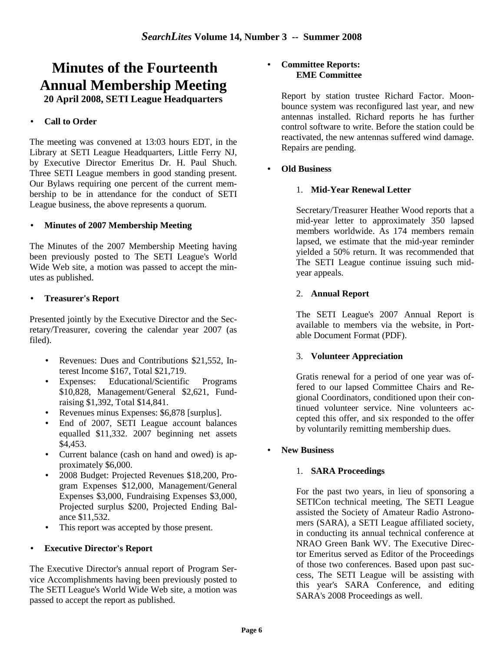# **Minutes of the Fourteenth Annual Membership Meeting**

**20 April 2008, SETI League Headquarters** 

#### • **Call to Order**

The meeting was convened at 13:03 hours EDT, in the Library at SETI League Headquarters, Little Ferry NJ, by Executive Director Emeritus Dr. H. Paul Shuch. Three SETI League members in good standing present. Our Bylaws requiring one percent of the current membership to be in attendance for the conduct of SETI League business, the above represents a quorum.

#### • **Minutes of 2007 Membership Meeting**

The Minutes of the 2007 Membership Meeting having been previously posted to The SETI League's World Wide Web site, a motion was passed to accept the minutes as published.

#### • **Treasurer's Report**

Presented jointly by the Executive Director and the Secretary/Treasurer, covering the calendar year 2007 (as filed).

- Revenues: Dues and Contributions \$21,552, Interest Income \$167, Total \$21,719.
- Expenses: Educational/Scientific Programs \$10,828, Management/General \$2,621, Fundraising \$1,392, Total \$14,841.
- Revenues minus Expenses: \$6,878 [surplus].
- End of 2007, SETI League account balances equalled \$11,332. 2007 beginning net assets \$4,453.
- Current balance (cash on hand and owed) is approximately \$6,000.
- 2008 Budget: Projected Revenues \$18,200, Program Expenses \$12,000, Management/General Expenses \$3,000, Fundraising Expenses \$3,000, Projected surplus \$200, Projected Ending Balance \$11,532.
- This report was accepted by those present.

#### • **Executive Director's Report**

The Executive Director's annual report of Program Service Accomplishments having been previously posted to The SETI League's World Wide Web site, a motion was passed to accept the report as published.

#### • **Committee Reports: EME Committee**

Report by station trustee Richard Factor. Moonbounce system was reconfigured last year, and new antennas installed. Richard reports he has further control software to write. Before the station could be reactivated, the new antennas suffered wind damage. Repairs are pending.

#### • **Old Business**

#### 1. **Mid-Year Renewal Letter**

Secretary/Treasurer Heather Wood reports that a mid-year letter to approximately 350 lapsed members worldwide. As 174 members remain lapsed, we estimate that the mid-year reminder yielded a 50% return. It was recommended that The SETI League continue issuing such midyear appeals.

#### 2. **Annual Report**

The SETI League's 2007 Annual Report is available to members via the website, in Portable Document Format (PDF).

#### 3. **Volunteer Appreciation**

Gratis renewal for a period of one year was offered to our lapsed Committee Chairs and Regional Coordinators, conditioned upon their continued volunteer service. Nine volunteers accepted this offer, and six responded to the offer by voluntarily remitting membership dues.

#### • **New Business**

#### 1. **SARA Proceedings**

For the past two years, in lieu of sponsoring a SETICon technical meeting, The SETI League assisted the Society of Amateur Radio Astronomers (SARA), a SETI League affiliated society, in conducting its annual technical conference at NRAO Green Bank WV. The Executive Director Emeritus served as Editor of the Proceedings of those two conferences. Based upon past success, The SETI League will be assisting with this year's SARA Conference, and editing SARA's 2008 Proceedings as well.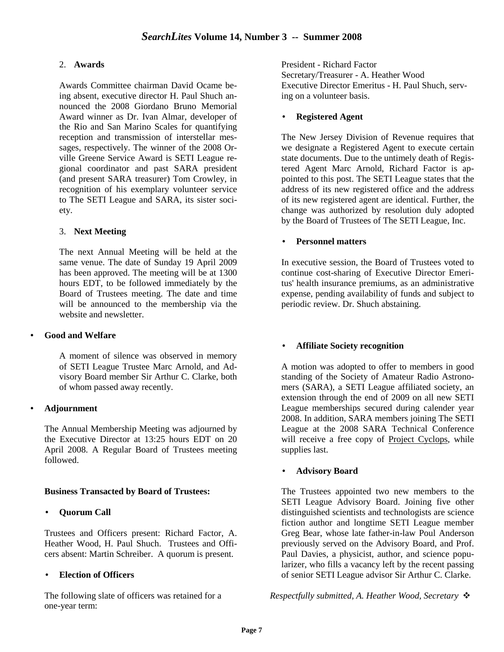#### 2. **Awards**

Awards Committee chairman David Ocame being absent, executive director H. Paul Shuch announced the 2008 Giordano Bruno Memorial Award winner as Dr. Ivan Almar, developer of the Rio and San Marino Scales for quantifying reception and transmission of interstellar messages, respectively. The winner of the 2008 Orville Greene Service Award is SETI League regional coordinator and past SARA president (and present SARA treasurer) Tom Crowley, in recognition of his exemplary volunteer service to The SETI League and SARA, its sister society.

#### 3. **Next Meeting**

The next Annual Meeting will be held at the same venue. The date of Sunday 19 April 2009 has been approved. The meeting will be at 1300 hours EDT, to be followed immediately by the Board of Trustees meeting. The date and time will be announced to the membership via the website and newsletter.

#### • **Good and Welfare**

A moment of silence was observed in memory of SETI League Trustee Marc Arnold, and Advisory Board member Sir Arthur C. Clarke, both of whom passed away recently.

#### • **Adjournment**

The Annual Membership Meeting was adjourned by the Executive Director at 13:25 hours EDT on 20 April 2008. A Regular Board of Trustees meeting followed.

#### **Business Transacted by Board of Trustees:**

#### • **Quorum Call**

Trustees and Officers present: Richard Factor, A. Heather Wood, H. Paul Shuch. Trustees and Officers absent: Martin Schreiber. A quorum is present.

#### • **Election of Officers**

The following slate of officers was retained for a one-year term:

President - Richard Factor Secretary/Treasurer - A. Heather Wood Executive Director Emeritus - H. Paul Shuch, serving on a volunteer basis.

#### • **Registered Agent**

The New Jersey Division of Revenue requires that we designate a Registered Agent to execute certain state documents. Due to the untimely death of Registered Agent Marc Arnold, Richard Factor is appointed to this post. The SETI League states that the address of its new registered office and the address of its new registered agent are identical. Further, the change was authorized by resolution duly adopted by the Board of Trustees of The SETI League, Inc.

#### • **Personnel matters**

In executive session, the Board of Trustees voted to continue cost-sharing of Executive Director Emeritus' health insurance premiums, as an administrative expense, pending availability of funds and subject to periodic review. Dr. Shuch abstaining.

#### • **Affiliate Society recognition**

A motion was adopted to offer to members in good standing of the Society of Amateur Radio Astronomers (SARA), a SETI League affiliated society, an extension through the end of 2009 on all new SETI League memberships secured during calender year 2008. In addition, SARA members joining The SETI League at the 2008 SARA Technical Conference will receive a free copy of Project Cyclops, while supplies last.

#### • **Advisory Board**

The Trustees appointed two new members to the SETI League Advisory Board. Joining five other distinguished scientists and technologists are science fiction author and longtime SETI League member Greg Bear, whose late father-in-law Poul Anderson previously served on the Advisory Board, and Prof. Paul Davies, a physicist, author, and science popularizer, who fills a vacancy left by the recent passing of senior SETI League advisor Sir Arthur C. Clarke.

*Respectfully submitted, A. Heather Wood, Secretary* -